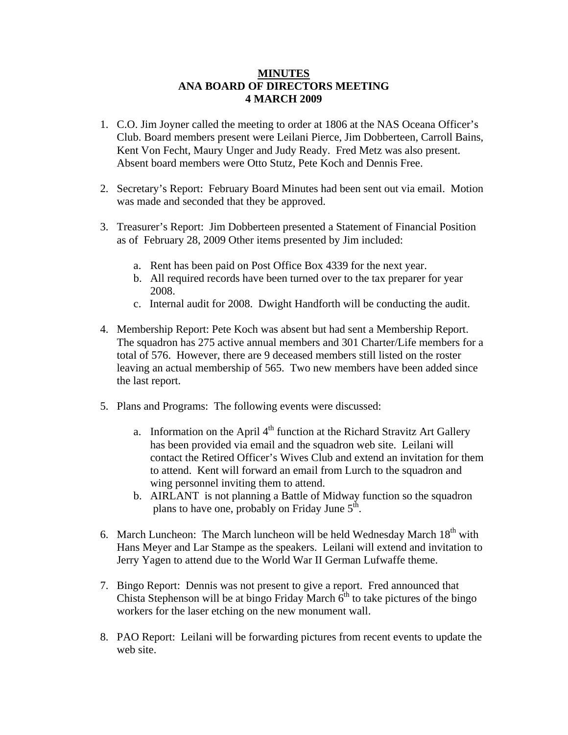## **MINUTES ANA BOARD OF DIRECTORS MEETING 4 MARCH 2009**

- 1. C.O. Jim Joyner called the meeting to order at 1806 at the NAS Oceana Officer's Club. Board members present were Leilani Pierce, Jim Dobberteen, Carroll Bains, Kent Von Fecht, Maury Unger and Judy Ready. Fred Metz was also present. Absent board members were Otto Stutz, Pete Koch and Dennis Free.
- 2. Secretary's Report: February Board Minutes had been sent out via email. Motion was made and seconded that they be approved.
- 3. Treasurer's Report: Jim Dobberteen presented a Statement of Financial Position as of February 28, 2009 Other items presented by Jim included:
	- a. Rent has been paid on Post Office Box 4339 for the next year.
	- b. All required records have been turned over to the tax preparer for year 2008.
	- c. Internal audit for 2008. Dwight Handforth will be conducting the audit.
- 4. Membership Report: Pete Koch was absent but had sent a Membership Report. The squadron has 275 active annual members and 301 Charter/Life members for a total of 576. However, there are 9 deceased members still listed on the roster leaving an actual membership of 565. Two new members have been added since the last report.
- 5. Plans and Programs: The following events were discussed:
	- a. Information on the April  $4<sup>th</sup>$  function at the Richard Stravitz Art Gallery has been provided via email and the squadron web site. Leilani will contact the Retired Officer's Wives Club and extend an invitation for them to attend. Kent will forward an email from Lurch to the squadron and wing personnel inviting them to attend.
	- b. AIRLANT is not planning a Battle of Midway function so the squadron plans to have one, probably on Friday June  $5<sup>th</sup>$ .
- 6. March Luncheon: The March luncheon will be held Wednesday March  $18<sup>th</sup>$  with Hans Meyer and Lar Stampe as the speakers. Leilani will extend and invitation to Jerry Yagen to attend due to the World War II German Lufwaffe theme.
- 7. Bingo Report: Dennis was not present to give a report. Fred announced that Chista Stephenson will be at bingo Friday March  $6<sup>th</sup>$  to take pictures of the bingo workers for the laser etching on the new monument wall.
- 8. PAO Report: Leilani will be forwarding pictures from recent events to update the web site.